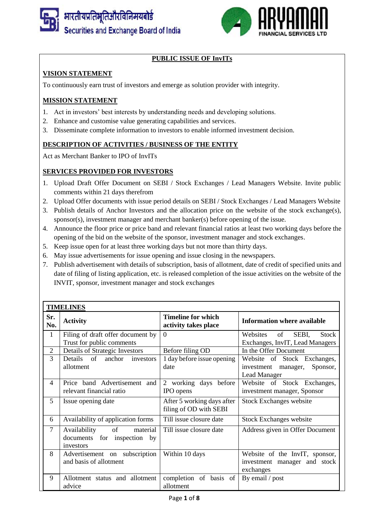



# **PUBLIC ISSUE OF InvITs**

# **VISION STATEMENT**

To continuously earn trust of investors and emerge as solution provider with integrity.

### **MISSION STATEMENT**

- 1. Act in investors' best interests by understanding needs and developing solutions.
- 2. Enhance and customise value generating capabilities and services.
- 3. Disseminate complete information to investors to enable informed investment decision.

### **DESCRIPTION OF ACTIVITIES / BUSINESS OF THE ENTITY**

Act as Merchant Banker to IPO of InvITs

# **SERVICES PROVIDED FOR INVESTORS**

- 1. Upload Draft Offer Document on SEBI / Stock Exchanges / Lead Managers Website. Invite public comments within 21 days therefrom
- 2. Upload Offer documents with issue period details on SEBI / Stock Exchanges / Lead Managers Website
- 3. Publish details of Anchor Investors and the allocation price on the website of the stock exchange(s), sponsor(s), investment manager and merchant banker(s) before opening of the issue.
- 4. Announce the floor price or price band and relevant financial ratios at least two working days before the opening of the bid on the website of the sponsor, investment manager and stock exchanges.
- 5. Keep issue open for at least three working days but not more than thirty days.
- 6. May issue advertisements for issue opening and issue closing in the newspapers.
- 7. Publish advertisement with details of subscription, basis of allotment, date of credit of specified units and date of filing of listing application, etc. is released completion of the issue activities on the website of the INVIT, sponsor, investment manager and stock exchanges

| <b>TIMELINES</b> |                                   |                                                      |                                         |  |  |
|------------------|-----------------------------------|------------------------------------------------------|-----------------------------------------|--|--|
| Sr.<br>No.       | <b>Activity</b>                   | <b>Timeline for which</b><br>activity takes place    | <b>Information where available</b>      |  |  |
| $\mathbf{1}$     | Filing of draft offer document by | $\Omega$                                             | of<br>SEBI,<br><b>Stock</b><br>Websites |  |  |
|                  | Trust for public comments         |                                                      | Exchanges, InvIT, Lead Managers         |  |  |
| $\overline{2}$   | Details of Strategic Investors    | Before filing OD                                     | In the Offer Document                   |  |  |
| 3                | Details of<br>anchor<br>investors | 1 day before issue opening                           | Website of Stock Exchanges,             |  |  |
|                  | allotment                         | date                                                 | investment<br>manager,<br>Sponsor,      |  |  |
|                  |                                   |                                                      | <b>Lead Manager</b>                     |  |  |
| $\overline{4}$   | Price band Advertisement and      | 2 working days before                                | Website of Stock Exchanges,             |  |  |
|                  | relevant financial ratio          | IPO opens                                            | investment manager, Sponsor             |  |  |
| 5                | Issue opening date                | After 5 working days after<br>filing of OD with SEBI | <b>Stock Exchanges website</b>          |  |  |
| 6                | Availability of application forms | Till issue closure date                              | <b>Stock Exchanges website</b>          |  |  |
| $\overline{7}$   | Availability<br>of<br>material    | Till issue closure date                              | Address given in Offer Document         |  |  |
|                  | documents for inspection by       |                                                      |                                         |  |  |
|                  | investors                         |                                                      |                                         |  |  |
| 8                | Advertisement on subscription     | Within 10 days                                       | Website of the InvIT, sponsor,          |  |  |
|                  | and basis of allotment            |                                                      | investment manager and stock            |  |  |
|                  |                                   |                                                      | exchanges                               |  |  |
| 9                | Allotment status and allotment    | completion of basis of                               | By email / post                         |  |  |
|                  | advice                            | allotment                                            |                                         |  |  |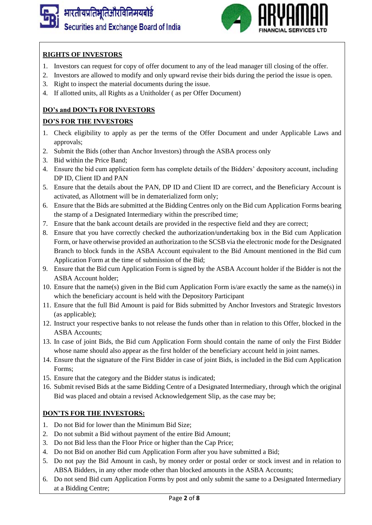



## **RIGHTS OF INVESTORS**

- 1. Investors can request for copy of offer document to any of the lead manager till closing of the offer.
- 2. Investors are allowed to modify and only upward revise their bids during the period the issue is open.
- 3. Right to inspect the material documents during the issue.
- 4. If allotted units, all Rights as a Unitholder ( as per Offer Document)

## **DO's and DON'Ts FOR INVESTORS**

### **DO'S FOR THE INVESTORS**

- 1. Check eligibility to apply as per the terms of the Offer Document and under Applicable Laws and approvals;
- 2. Submit the Bids (other than Anchor Investors) through the ASBA process only
- 3. Bid within the Price Band;
- 4. Ensure the bid cum application form has complete details of the Bidders' depository account, including DP ID, Client ID and PAN
- 5. Ensure that the details about the PAN, DP ID and Client ID are correct, and the Beneficiary Account is activated, as Allotment will be in dematerialized form only;
- 6. Ensure that the Bids are submitted at the Bidding Centres only on the Bid cum Application Forms bearing the stamp of a Designated Intermediary within the prescribed time;
- 7. Ensure that the bank account details are provided in the respective field and they are correct;
- 8. Ensure that you have correctly checked the authorization/undertaking box in the Bid cum Application Form, or have otherwise provided an authorization to the SCSB via the electronic mode for the Designated Branch to block funds in the ASBA Account equivalent to the Bid Amount mentioned in the Bid cum Application Form at the time of submission of the Bid;
- 9. Ensure that the Bid cum Application Form is signed by the ASBA Account holder if the Bidder is not the ASBA Account holder;
- 10. Ensure that the name(s) given in the Bid cum Application Form is/are exactly the same as the name(s) in which the beneficiary account is held with the Depository Participant
- 11. Ensure that the full Bid Amount is paid for Bids submitted by Anchor Investors and Strategic Investors (as applicable);
- 12. Instruct your respective banks to not release the funds other than in relation to this Offer, blocked in the ASBA Accounts;
- 13. In case of joint Bids, the Bid cum Application Form should contain the name of only the First Bidder whose name should also appear as the first holder of the beneficiary account held in joint names.
- 14. Ensure that the signature of the First Bidder in case of joint Bids, is included in the Bid cum Application Forms;
- 15. Ensure that the category and the Bidder status is indicated;
- 16. Submit revised Bids at the same Bidding Centre of a Designated Intermediary, through which the original Bid was placed and obtain a revised Acknowledgement Slip, as the case may be;

### **DON'TS FOR THE INVESTORS:**

- 1. Do not Bid for lower than the Minimum Bid Size;
- 2. Do not submit a Bid without payment of the entire Bid Amount;
- 3. Do not Bid less than the Floor Price or higher than the Cap Price;
- 4. Do not Bid on another Bid cum Application Form after you have submitted a Bid;
- 5. Do not pay the Bid Amount in cash, by money order or postal order or stock invest and in relation to ABSA Bidders, in any other mode other than blocked amounts in the ASBA Accounts;
- 6. Do not send Bid cum Application Forms by post and only submit the same to a Designated Intermediary at a Bidding Centre;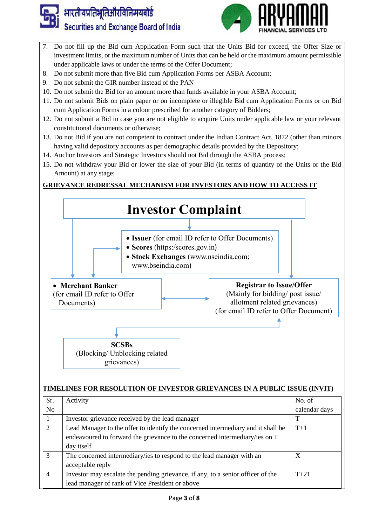



- 7. Do not fill up the Bid cum Application Form such that the Units Bid for exceed, the Offer Size or investment limits, or the maximum number of Units that can be held or the maximum amount permissible under applicable laws or under the terms of the Offer Document;
- 8. Do not submit more than five Bid cum Application Forms per ASBA Account;
- 9. Do not submit the GIR number instead of the PAN
- 10. Do not submit the Bid for an amount more than funds available in your ASBA Account;
- 11. Do not submit Bids on plain paper or on incomplete or illegible Bid cum Application Forms or on Bid cum Application Forms in a colour prescribed for another category of Bidders;
- 12. Do not submit a Bid in case you are not eligible to acquire Units under applicable law or your relevant constitutional documents or otherwise;
- 13. Do not Bid if you are not competent to contract under the Indian Contract Act, 1872 (other than minors having valid depository accounts as per demographic details provided by the Depository;
- 14. Anchor Investors and Strategic Investors should not Bid through the ASBA process;
- 15. Do not withdraw your Bid or lower the size of your Bid (in terms of quantity of the Units or the Bid Amount) at any stage;

# **GRIEVANCE REDRESSAL MECHANISM FOR INVESTORS AND HOW TO ACCESS IT**



### **TIMELINES FOR RESOLUTION OF INVESTOR GRIEVANCES IN A PUBLIC ISSUE (INVIT)**

| Sr.                         | Activity                                                                                                                                                                      | No. of        |
|-----------------------------|-------------------------------------------------------------------------------------------------------------------------------------------------------------------------------|---------------|
| N <sub>0</sub>              |                                                                                                                                                                               | calendar days |
|                             | Investor grievance received by the lead manager                                                                                                                               | т             |
| $\mathcal{D}_{\mathcal{L}}$ | Lead Manager to the offer to identify the concerned intermediary and it shall be<br>endeavoured to forward the grievance to the concerned intermediary/ies on T<br>day itself | $T+1$         |
| 3                           | The concerned intermediary/ies to respond to the lead manager with an<br>acceptable reply                                                                                     | X             |
| $\overline{4}$              | Investor may escalate the pending grievance, if any, to a senior officer of the<br>lead manager of rank of Vice President or above                                            | $T + 21$      |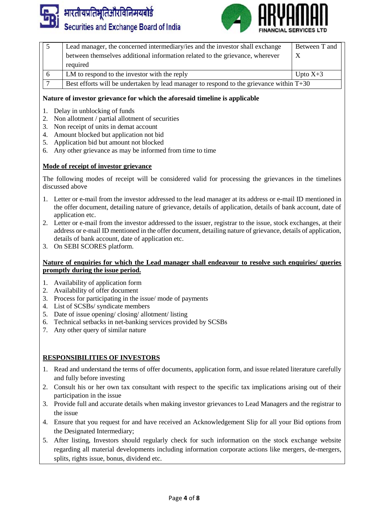



|   | Lead manager, the concerned intermediary/ies and the investor shall exchange                                                                            | Between T and |
|---|---------------------------------------------------------------------------------------------------------------------------------------------------------|---------------|
|   | between themselves additional information related to the grievance, wherever                                                                            |               |
|   | required                                                                                                                                                |               |
| 6 | LM to respond to the investor with the reply<br>Upto $X+3$<br>Best efforts will be undertaken by lead manager to respond to the grievance within $T+30$ |               |
|   |                                                                                                                                                         |               |

### **Nature of investor grievance for which the aforesaid timeline is applicable**

- 1. Delay in unblocking of funds
- 2. Non allotment / partial allotment of securities
- 3. Non receipt of units in demat account
- 4. Amount blocked but application not bid
- 5. Application bid but amount not blocked
- 6. Any other grievance as may be informed from time to time

#### **Mode of receipt of investor grievance**

The following modes of receipt will be considered valid for processing the grievances in the timelines discussed above

- 1. Letter or e-mail from the investor addressed to the lead manager at its address or e-mail ID mentioned in the offer document, detailing nature of grievance, details of application, details of bank account, date of application etc.
- 2. Letter or e-mail from the investor addressed to the issuer, registrar to the issue, stock exchanges, at their address or e-mail ID mentioned in the offer document, detailing nature of grievance, details of application, details of bank account, date of application etc.
- 3. On SEBI SCORES platform.

#### **Nature of enquiries for which the Lead manager shall endeavour to resolve such enquiries/ queries promptly during the issue period.**

- 1. Availability of application form
- 2. Availability of offer document
- 3. Process for participating in the issue/ mode of payments
- 4. List of SCSBs/ syndicate members
- 5. Date of issue opening/ closing/ allotment/ listing
- 6. Technical setbacks in net-banking services provided by SCSBs
- 7. Any other query of similar nature

### **RESPONSIBILITIES OF INVESTORS**

- 1. Read and understand the terms of offer documents, application form, and issue related literature carefully and fully before investing
- 2. Consult his or her own tax consultant with respect to the specific tax implications arising out of their participation in the issue
- 3. Provide full and accurate details when making investor grievances to Lead Managers and the registrar to the issue
- 4. Ensure that you request for and have received an Acknowledgement Slip for all your Bid options from the Designated Intermediary;
- 5. After listing, Investors should regularly check for such information on the stock exchange website regarding all material developments including information corporate actions like mergers, de-mergers, splits, rights issue, bonus, dividend etc.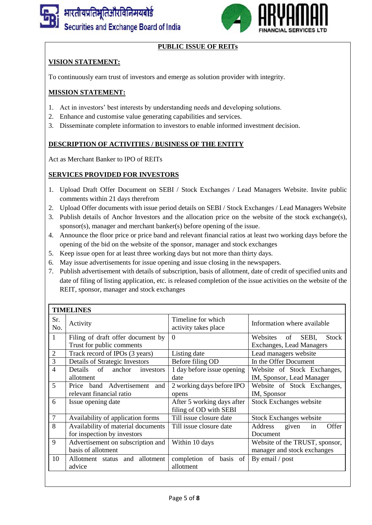

# **PUBLIC ISSUE OF REITs**

## **VISION STATEMENT:**

To continuously earn trust of investors and emerge as solution provider with integrity.

### **MISSION STATEMENT:**

- 1. Act in investors' best interests by understanding needs and developing solutions.
- 2. Enhance and customise value generating capabilities and services.
- 3. Disseminate complete information to investors to enable informed investment decision.

### **DESCRIPTION OF ACTIVITIES / BUSINESS OF THE ENTITY**

Act as Merchant Banker to IPO of REITs

### **SERVICES PROVIDED FOR INVESTORS**

- 1. Upload Draft Offer Document on SEBI / Stock Exchanges / Lead Managers Website. Invite public comments within 21 days therefrom
- 2. Upload Offer documents with issue period details on SEBI / Stock Exchanges / Lead Managers Website
- 3. Publish details of Anchor Investors and the allocation price on the website of the stock exchange(s), sponsor(s), manager and merchant banker(s) before opening of the issue.
- 4. Announce the floor price or price band and relevant financial ratios at least two working days before the opening of the bid on the website of the sponsor, manager and stock exchanges
- 5. Keep issue open for at least three working days but not more than thirty days.
- 6. May issue advertisements for issue opening and issue closing in the newspapers.
- 7. Publish advertisement with details of subscription, basis of allotment, date of credit of specified units and date of filing of listing application, etc. is released completion of the issue activities on the website of the REIT, sponsor, manager and stock exchanges

| <b>TIMELINES</b> |                                                                   |                                                      |                                                                            |  |  |
|------------------|-------------------------------------------------------------------|------------------------------------------------------|----------------------------------------------------------------------------|--|--|
| Sr.<br>No.       | Activity                                                          | Timeline for which<br>activity takes place           | Information where available                                                |  |  |
| $\mathbf{1}$     | Filing of draft offer document by<br>Trust for public comments    | $\overline{0}$                                       | SEBI,<br>Websites<br>of<br><b>Stock</b><br><b>Exchanges, Lead Managers</b> |  |  |
| $\overline{2}$   | Track record of IPOs (3 years)                                    | Listing date                                         | Lead managers website                                                      |  |  |
| 3                | Details of Strategic Investors                                    | Before filing OD                                     | In the Offer Document                                                      |  |  |
| $\overline{4}$   | Details of<br>anchor<br>investors<br>allotment                    | 1 day before issue opening<br>date                   | Website of Stock Exchanges,<br>IM, Sponsor, Lead Manager                   |  |  |
| 5                | Price band Advertisement<br>and<br>relevant financial ratio       | 2 working days before IPO<br>opens                   | Website of Stock Exchanges,<br>IM, Sponsor                                 |  |  |
| 6                | Issue opening date                                                | After 5 working days after<br>filing of OD with SEBI | <b>Stock Exchanges website</b>                                             |  |  |
| 7                | Availability of application forms                                 | Till issue closure date                              | <b>Stock Exchanges website</b>                                             |  |  |
| 8                | Availability of material documents<br>for inspection by investors | Till issue closure date                              | Address<br>Offer<br>given<br>in<br>Document                                |  |  |
| 9                | Advertisement on subscription and<br>basis of allotment           | Within 10 days                                       | Website of the TRUST, sponsor,<br>manager and stock exchanges              |  |  |
| 10               | Allotment status and allotment<br>advice                          | completion of basis of<br>allotment                  | By email / post                                                            |  |  |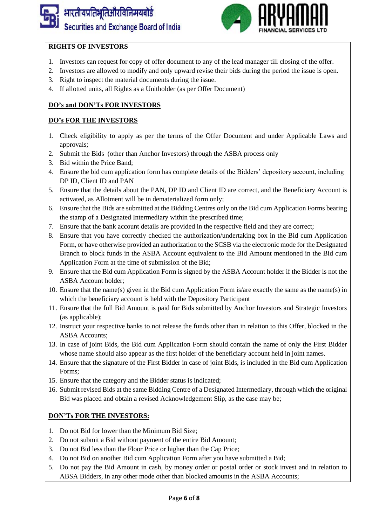

# **RIGHTS OF INVESTORS**

- 1. Investors can request for copy of offer document to any of the lead manager till closing of the offer.
- 2. Investors are allowed to modify and only upward revise their bids during the period the issue is open.
- 3. Right to inspect the material documents during the issue.
- 4. If allotted units, all Rights as a Unitholder (as per Offer Document)

## **DO's and DON'Ts FOR INVESTORS**

### **DO's FOR THE INVESTORS**

- 1. Check eligibility to apply as per the terms of the Offer Document and under Applicable Laws and approvals;
- 2. Submit the Bids (other than Anchor Investors) through the ASBA process only
- 3. Bid within the Price Band;
- 4. Ensure the bid cum application form has complete details of the Bidders' depository account, including DP ID, Client ID and PAN
- 5. Ensure that the details about the PAN, DP ID and Client ID are correct, and the Beneficiary Account is activated, as Allotment will be in dematerialized form only;
- 6. Ensure that the Bids are submitted at the Bidding Centres only on the Bid cum Application Forms bearing the stamp of a Designated Intermediary within the prescribed time;
- 7. Ensure that the bank account details are provided in the respective field and they are correct;
- 8. Ensure that you have correctly checked the authorization/undertaking box in the Bid cum Application Form, or have otherwise provided an authorization to the SCSB via the electronic mode for the Designated Branch to block funds in the ASBA Account equivalent to the Bid Amount mentioned in the Bid cum Application Form at the time of submission of the Bid;
- 9. Ensure that the Bid cum Application Form is signed by the ASBA Account holder if the Bidder is not the ASBA Account holder;
- 10. Ensure that the name(s) given in the Bid cum Application Form is/are exactly the same as the name(s) in which the beneficiary account is held with the Depository Participant
- 11. Ensure that the full Bid Amount is paid for Bids submitted by Anchor Investors and Strategic Investors (as applicable);
- 12. Instruct your respective banks to not release the funds other than in relation to this Offer, blocked in the ASBA Accounts;
- 13. In case of joint Bids, the Bid cum Application Form should contain the name of only the First Bidder whose name should also appear as the first holder of the beneficiary account held in joint names.
- 14. Ensure that the signature of the First Bidder in case of joint Bids, is included in the Bid cum Application Forms;
- 15. Ensure that the category and the Bidder status is indicated;
- 16. Submit revised Bids at the same Bidding Centre of a Designated Intermediary, through which the original Bid was placed and obtain a revised Acknowledgement Slip, as the case may be;

### **DON'Ts FOR THE INVESTORS:**

- 1. Do not Bid for lower than the Minimum Bid Size;
- 2. Do not submit a Bid without payment of the entire Bid Amount;
- 3. Do not Bid less than the Floor Price or higher than the Cap Price;
- 4. Do not Bid on another Bid cum Application Form after you have submitted a Bid;
- 5. Do not pay the Bid Amount in cash, by money order or postal order or stock invest and in relation to ABSA Bidders, in any other mode other than blocked amounts in the ASBA Accounts;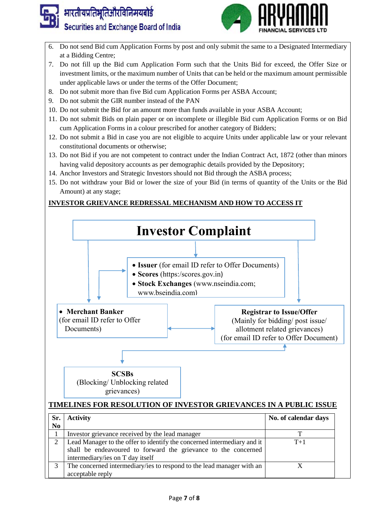